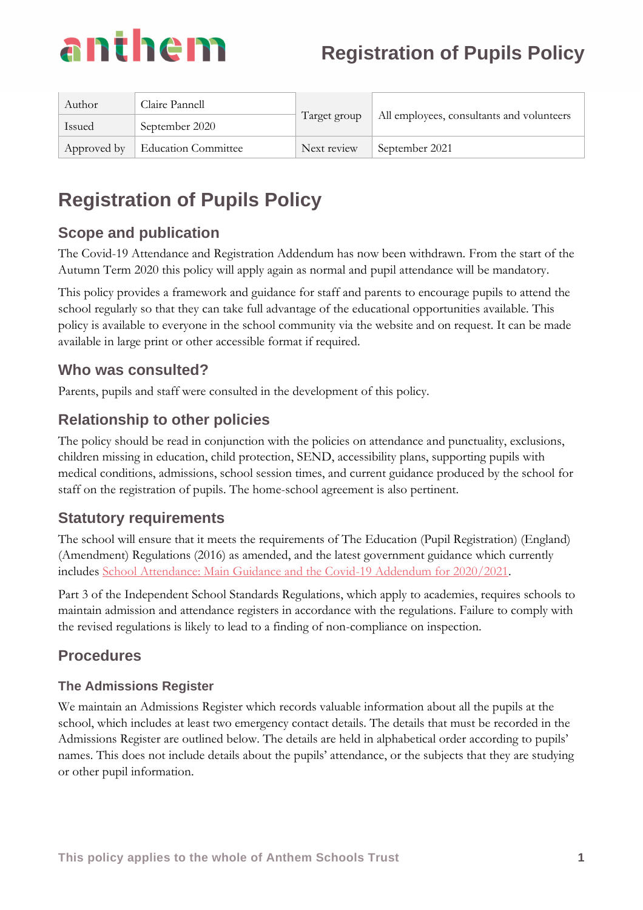

| Author | Claire Pannell                    | Target group | All employees, consultants and volunteers |
|--------|-----------------------------------|--------------|-------------------------------------------|
| Issued | September 2020                    |              |                                           |
|        | Approved by   Education Committee | Next review  | September 2021                            |

# **Scope and publication**

The Covid-19 Attendance and Registration Addendum has now been withdrawn. From the start of the Autumn Term 2020 this policy will apply again as normal and pupil attendance will be mandatory.

This policy provides a framework and guidance for staff and parents to encourage pupils to attend the school regularly so that they can take full advantage of the educational opportunities available. This policy is available to everyone in the school community via the website and on request. It can be made available in large print or other accessible format if required.

## **Who was consulted?**

Parents, pupils and staff were consulted in the development of this policy.

## **Relationship to other policies**

The policy should be read in conjunction with the policies on attendance and punctuality, exclusions, children missing in education, child protection, SEND, accessibility plans, supporting pupils with medical conditions, admissions, school session times, and current guidance produced by the school for staff on the registration of pupils. The home-school agreement is also pertinent.

## **Statutory requirements**

The school will ensure that it meets the requirements of The Education (Pupil Registration) (England) (Amendment) Regulations (2016) as amended, and the latest government guidance which currently includes [School Attendance: Main Guidance and the Covid-19 Addendum for 2020/2021.](https://www.gov.uk/government/publications/school-attendance#history)

Part 3 of the Independent School Standards Regulations, which apply to academies, requires schools to maintain admission and attendance registers in accordance with the regulations. Failure to comply with the revised regulations is likely to lead to a finding of non-compliance on inspection.

## **Procedures**

## **The Admissions Register**

We maintain an Admissions Register which records valuable information about all the pupils at the school, which includes at least two emergency contact details. The details that must be recorded in the Admissions Register are outlined below. The details are held in alphabetical order according to pupils' names. This does not include details about the pupils' attendance, or the subjects that they are studying or other pupil information.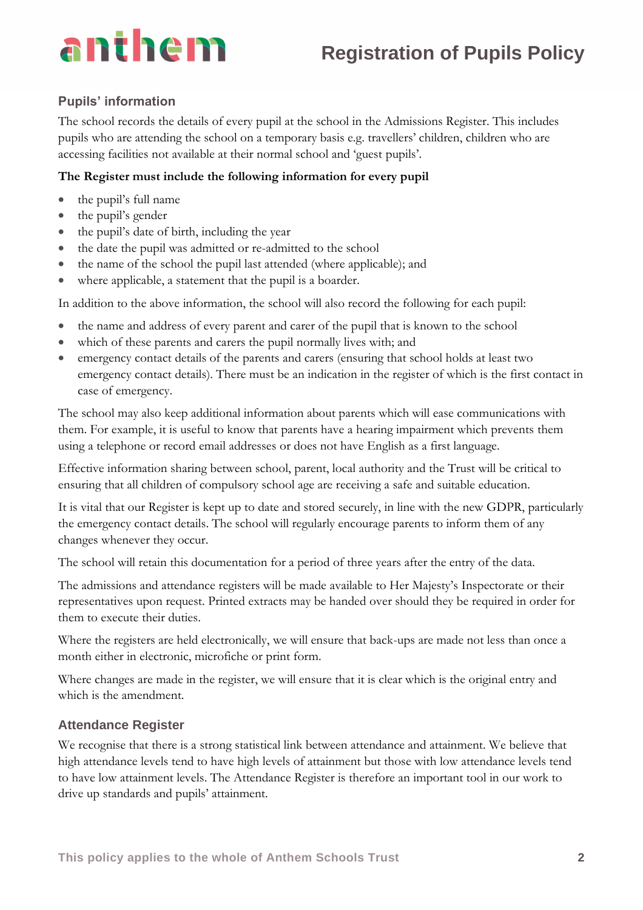# **Registration of Pupils Policy**

#### **Pupils' information**

The school records the details of every pupil at the school in the Admissions Register. This includes pupils who are attending the school on a temporary basis e.g. travellers' children, children who are accessing facilities not available at their normal school and 'guest pupils'.

#### **The Register must include the following information for every pupil**

- the pupil's full name
- the pupil's gender
- the pupil's date of birth, including the year
- the date the pupil was admitted or re-admitted to the school
- the name of the school the pupil last attended (where applicable); and
- where applicable, a statement that the pupil is a boarder.

In addition to the above information, the school will also record the following for each pupil:

- the name and address of every parent and carer of the pupil that is known to the school
- which of these parents and carers the pupil normally lives with; and
- emergency contact details of the parents and carers (ensuring that school holds at least two emergency contact details). There must be an indication in the register of which is the first contact in case of emergency.

The school may also keep additional information about parents which will ease communications with them. For example, it is useful to know that parents have a hearing impairment which prevents them using a telephone or record email addresses or does not have English as a first language.

Effective information sharing between school, parent, local authority and the Trust will be critical to ensuring that all children of compulsory school age are receiving a safe and suitable education.

It is vital that our Register is kept up to date and stored securely, in line with the new GDPR, particularly the emergency contact details. The school will regularly encourage parents to inform them of any changes whenever they occur.

The school will retain this documentation for a period of three years after the entry of the data.

The admissions and attendance registers will be made available to Her Majesty's Inspectorate or their representatives upon request. Printed extracts may be handed over should they be required in order for them to execute their duties.

Where the registers are held electronically, we will ensure that back-ups are made not less than once a month either in electronic, microfiche or print form.

Where changes are made in the register, we will ensure that it is clear which is the original entry and which is the amendment.

#### **Attendance Register**

We recognise that there is a strong statistical link between attendance and attainment. We believe that high attendance levels tend to have high levels of attainment but those with low attendance levels tend to have low attainment levels. The Attendance Register is therefore an important tool in our work to drive up standards and pupils' attainment.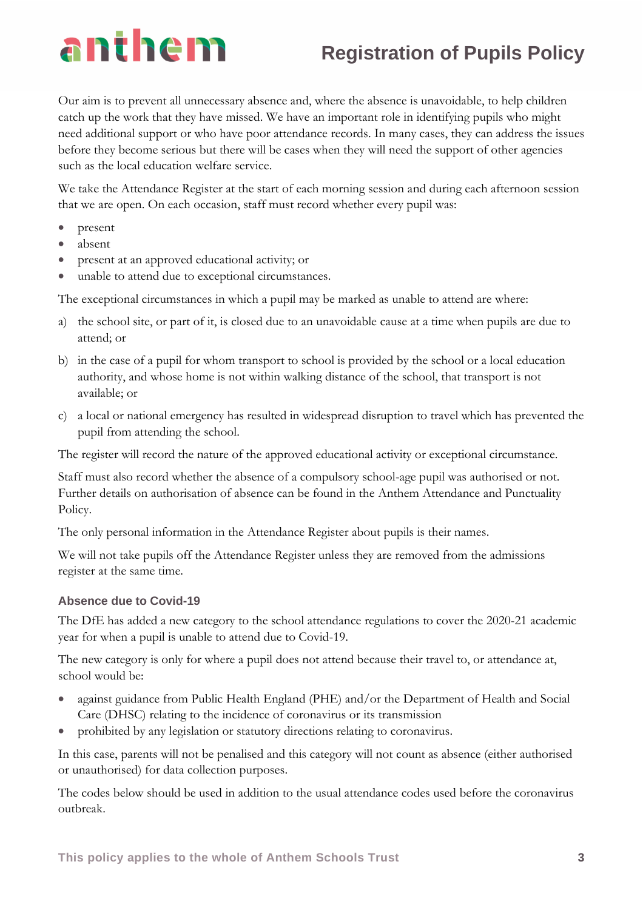# **Registration of Pupils Policy**

Our aim is to prevent all unnecessary absence and, where the absence is unavoidable, to help children catch up the work that they have missed. We have an important role in identifying pupils who might need additional support or who have poor attendance records. In many cases, they can address the issues before they become serious but there will be cases when they will need the support of other agencies such as the local education welfare service.

We take the Attendance Register at the start of each morning session and during each afternoon session that we are open. On each occasion, staff must record whether every pupil was:

- present
- absent
- present at an approved educational activity; or
- unable to attend due to exceptional circumstances.

The exceptional circumstances in which a pupil may be marked as unable to attend are where:

- a) the school site, or part of it, is closed due to an unavoidable cause at a time when pupils are due to attend; or
- b) in the case of a pupil for whom transport to school is provided by the school or a local education authority, and whose home is not within walking distance of the school, that transport is not available; or
- c) a local or national emergency has resulted in widespread disruption to travel which has prevented the pupil from attending the school.

The register will record the nature of the approved educational activity or exceptional circumstance.

Staff must also record whether the absence of a compulsory school-age pupil was authorised or not. Further details on authorisation of absence can be found in the Anthem Attendance and Punctuality Policy.

The only personal information in the Attendance Register about pupils is their names.

We will not take pupils off the Attendance Register unless they are removed from the admissions register at the same time.

#### **Absence due to Covid-19**

The DfE has added a new category to the [school attendance regulations](https://www.legislation.gov.uk/uksi/2020/816/contents/made) to cover the 2020-21 academic year for when a pupil is unable to attend due to Covid-19.

The new category is only for where a pupil does not attend because their travel to, or attendance at, school would be:

- against guidance from Public Health England (PHE) and/or the Department of Health and Social Care (DHSC) relating to the incidence of coronavirus or its transmission
- prohibited by any legislation or statutory directions relating to coronavirus.

In this case, parents will not be penalised and this category will not count as absence (either authorised or unauthorised) for data collection purposes.

The codes below should be used in addition to the usual attendance codes used before the coronavirus outbreak.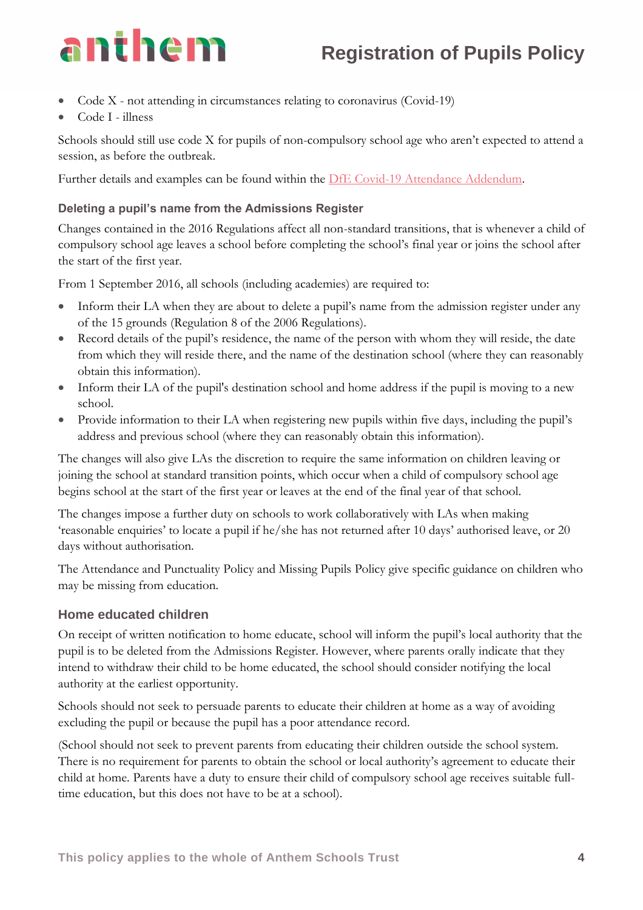- Code X not attending in circumstances relating to coronavirus (Covid-19)
- Code I illness

Schools should still use code X for pupils of non-compulsory school age who aren't expected to attend a session, as before the outbreak.

Further details and examples can be found within the [DfE Covid-19 Attendance Addendum.](https://www.gov.uk/government/publications/school-attendance/addendum-recording-attendance-in-relation-to-coronavirus-covid-19-during-the-2020-to-2021-academic-year)

#### **Deleting a pupil's name from the Admissions Register**

Changes contained in the 2016 Regulations affect all non-standard transitions, that is whenever a child of compulsory school age leaves a school before completing the school's final year or joins the school after the start of the first year.

From 1 September 2016, all schools (including academies) are required to:

- Inform their LA when they are about to delete a pupil's name from the admission register under any of the 15 grounds (Regulation 8 of the 2006 Regulations).
- Record details of the pupil's residence, the name of the person with whom they will reside, the date from which they will reside there, and the name of the destination school (where they can reasonably obtain this information).
- Inform their LA of the pupil's destination school and home address if the pupil is moving to a new school.
- Provide information to their LA when registering new pupils within five days, including the pupil's address and previous school (where they can reasonably obtain this information).

The changes will also give LAs the discretion to require the same information on children leaving or joining the school at standard transition points, which occur when a child of compulsory school age begins school at the start of the first year or leaves at the end of the final year of that school.

The changes impose a further duty on schools to work collaboratively with LAs when making 'reasonable enquiries' to locate a pupil if he/she has not returned after 10 days' authorised leave, or 20 days without authorisation.

The Attendance and Punctuality Policy and Missing Pupils Policy give specific guidance on children who may be missing from education.

#### **Home educated children**

On receipt of written notification to home educate, school will inform the pupil's local authority that the pupil is to be deleted from the Admissions Register. However, where parents orally indicate that they intend to withdraw their child to be home educated, the school should consider notifying the local authority at the earliest opportunity.

Schools should not seek to persuade parents to educate their children at home as a way of avoiding excluding the pupil or because the pupil has a poor attendance record.

(School should not seek to prevent parents from educating their children outside the school system. There is no requirement for parents to obtain the school or local authority's agreement to educate their child at home. Parents have a duty to ensure their child of compulsory school age receives suitable fulltime education, but this does not have to be at a school).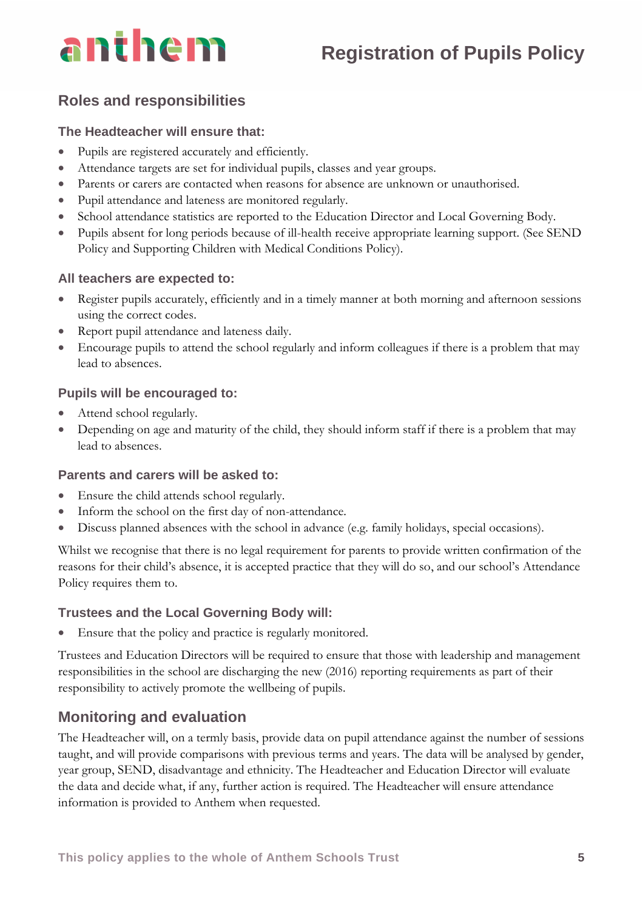# **Registration of Pupils Policy**

# **Roles and responsibilities**

#### **The Headteacher will ensure that:**

- Pupils are registered accurately and efficiently.
- Attendance targets are set for individual pupils, classes and year groups.
- Parents or carers are contacted when reasons for absence are unknown or unauthorised.
- Pupil attendance and lateness are monitored regularly.
- School attendance statistics are reported to the Education Director and Local Governing Body.
- Pupils absent for long periods because of ill-health receive appropriate learning support. (See SEND Policy and Supporting Children with Medical Conditions Policy).

#### **All teachers are expected to:**

- Register pupils accurately, efficiently and in a timely manner at both morning and afternoon sessions using the correct codes.
- Report pupil attendance and lateness daily.
- Encourage pupils to attend the school regularly and inform colleagues if there is a problem that may lead to absences.

#### **Pupils will be encouraged to:**

- Attend school regularly.
- Depending on age and maturity of the child, they should inform staff if there is a problem that may lead to absences.

#### **Parents and carers will be asked to:**

- Ensure the child attends school regularly.
- Inform the school on the first day of non-attendance.
- Discuss planned absences with the school in advance (e.g. family holidays, special occasions).

Whilst we recognise that there is no legal requirement for parents to provide written confirmation of the reasons for their child's absence, it is accepted practice that they will do so, and our school's Attendance Policy requires them to.

#### **Trustees and the Local Governing Body will:**

• Ensure that the policy and practice is regularly monitored.

Trustees and Education Directors will be required to ensure that those with leadership and management responsibilities in the school are discharging the new (2016) reporting requirements as part of their responsibility to actively promote the wellbeing of pupils.

## **Monitoring and evaluation**

The Headteacher will, on a termly basis, provide data on pupil attendance against the number of sessions taught, and will provide comparisons with previous terms and years. The data will be analysed by gender, year group, SEND, disadvantage and ethnicity. The Headteacher and Education Director will evaluate the data and decide what, if any, further action is required. The Headteacher will ensure attendance information is provided to Anthem when requested.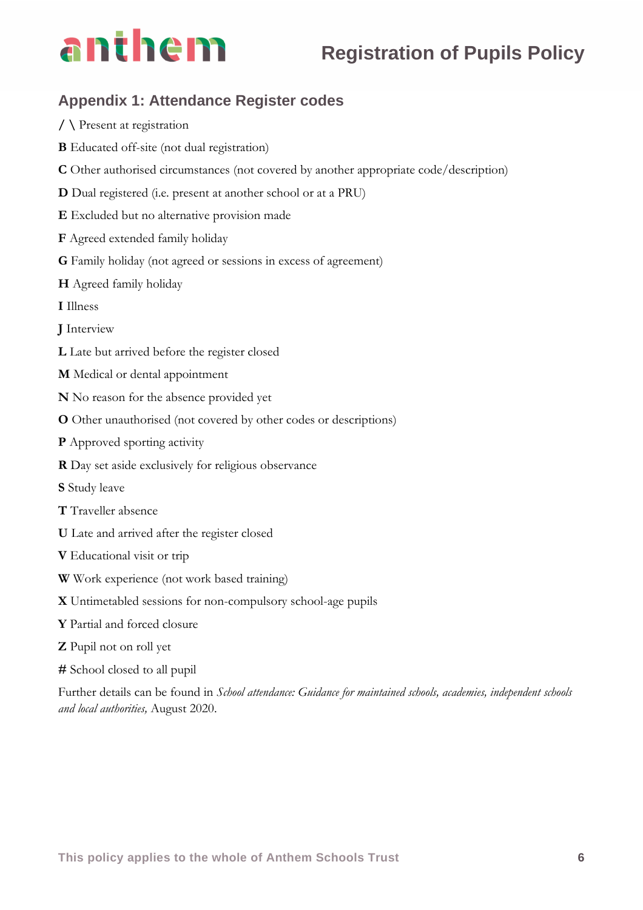# anthem

# **Appendix 1: Attendance Register codes**

**/ \** Present at registration **B** Educated off-site (not dual registration) **C** Other authorised circumstances (not covered by another appropriate code/description) **D** Dual registered (i.e. present at another school or at a PRU) **E** Excluded but no alternative provision made **F** Agreed extended family holiday **G** Family holiday (not agreed or sessions in excess of agreement) **H** Agreed family holiday **I** Illness **J** Interview **L** Late but arrived before the register closed **M** Medical or dental appointment **N** No reason for the absence provided yet **O** Other unauthorised (not covered by other codes or descriptions) **P** Approved sporting activity **R** Day set aside exclusively for religious observance **S** Study leave **T** Traveller absence **U** Late and arrived after the register closed **V** Educational visit or trip **W** Work experience (not work based training) **X** Untimetabled sessions for non-compulsory school-age pupils **Y** Partial and forced closure **Z** Pupil not on roll yet **#** School closed to all pupil Further details can be found in *School attendance: Guidance for maintained schools, academies, independent schools* 

*and local authorities,* August 2020.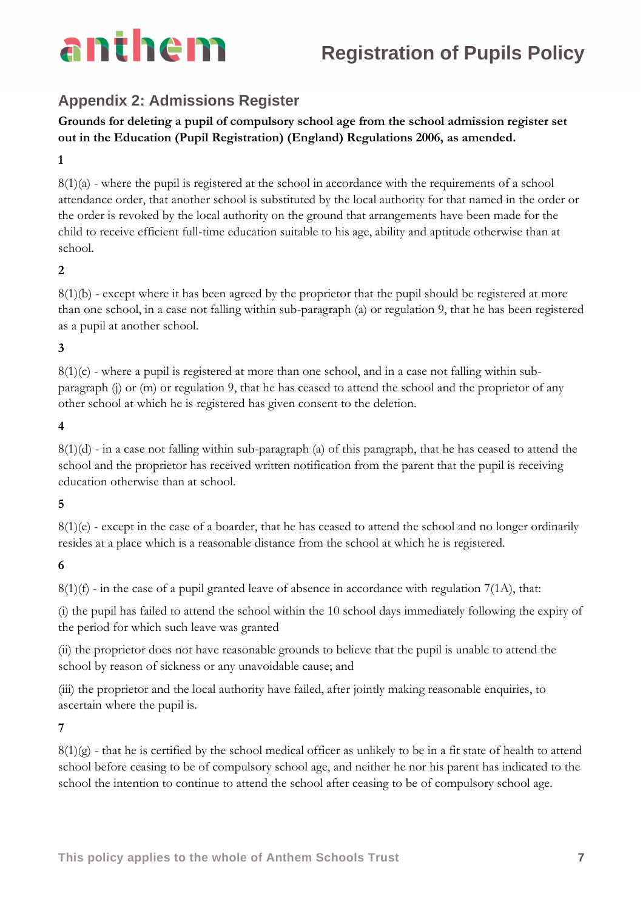

## **Appendix 2: Admissions Register**

**Grounds for deleting a pupil of compulsory school age from the school admission register set out in the Education (Pupil Registration) (England) Regulations 2006, as amended.**

#### **1**

 $8(1)(a)$  - where the pupil is registered at the school in accordance with the requirements of a school attendance order, that another school is substituted by the local authority for that named in the order or the order is revoked by the local authority on the ground that arrangements have been made for the child to receive efficient full-time education suitable to his age, ability and aptitude otherwise than at school.

#### **2**

8(1)(b) - except where it has been agreed by the proprietor that the pupil should be registered at more than one school, in a case not falling within sub-paragraph (a) or regulation 9, that he has been registered as a pupil at another school.

#### **3**

 $8(1)(c)$  - where a pupil is registered at more than one school, and in a case not falling within subparagraph (j) or (m) or regulation 9, that he has ceased to attend the school and the proprietor of any other school at which he is registered has given consent to the deletion.

#### **4**

8(1)(d) - in a case not falling within sub-paragraph (a) of this paragraph, that he has ceased to attend the school and the proprietor has received written notification from the parent that the pupil is receiving education otherwise than at school.

#### **5**

8(1)(e) - except in the case of a boarder, that he has ceased to attend the school and no longer ordinarily resides at a place which is a reasonable distance from the school at which he is registered.

## **6**

 $8(1)(f)$  - in the case of a pupil granted leave of absence in accordance with regulation 7(1A), that:

(i) the pupil has failed to attend the school within the 10 school days immediately following the expiry of the period for which such leave was granted

(ii) the proprietor does not have reasonable grounds to believe that the pupil is unable to attend the school by reason of sickness or any unavoidable cause; and

(iii) the proprietor and the local authority have failed, after jointly making reasonable enquiries, to ascertain where the pupil is.

#### **7**

 $8(1)(g)$  - that he is certified by the school medical officer as unlikely to be in a fit state of health to attend school before ceasing to be of compulsory school age, and neither he nor his parent has indicated to the school the intention to continue to attend the school after ceasing to be of compulsory school age.